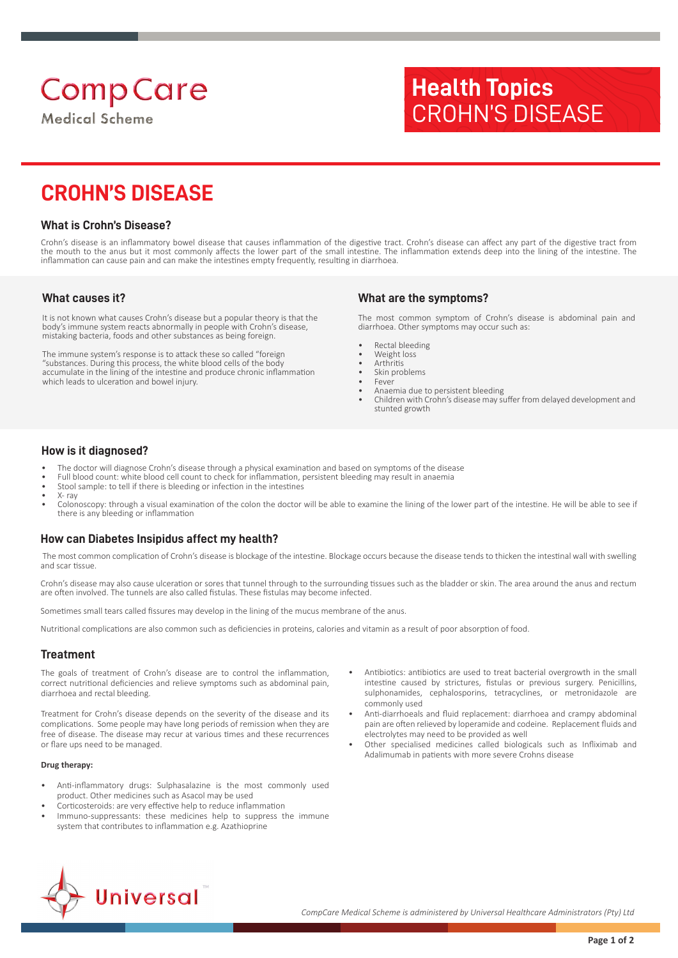# **Comp Care**

**Medical Scheme** 

## **Health Topics** CROHN'S DISEASE

### **CROHN'S DISEASE**

#### **What is Crohn's Disease?**

Crohn's disease is an inflammatory bowel disease that causes inflammation of the digestive tract. Crohn's disease can affect any part of the digestive tract from the mouth to the anus but it most commonly affects the lower part of the small intestine. The inflammation extends deep into the lining of the intestine. The inflammation can cause pain and can make the intestines empty frequently, resulting in diarrhoea.

#### **What causes it?**

It is not known what causes Crohn's disease but a popular theory is that the body's immune system reacts abnormally in people with Crohn's disease, mistaking bacteria, foods and other substances as being foreign.

The immune system's response is to attack these so called "foreign "substances. During this process, the white blood cells of the body accumulate in the lining of the intestine and produce chronic inflammation which leads to ulceration and bowel injury.

#### **What are the symptoms?**

The most common symptom of Crohn's disease is abdominal pain and diarrhoea. Other symptoms may occur such as:

- Rectal bleeding
- Weight loss
- **Arthritis** Skin problems
- Fever
- Anaemia due to persistent bleeding
- Children with Crohn's disease may suffer from delayed development and stunted growth

#### **How is it diagnosed?**

- The doctor will diagnose Crohn's disease through a physical examination and based on symptoms of the disease
- Full blood count: white blood cell count to check for inflammation, persistent bleeding may result in anaemia
- Stool sample: to tell if there is bleeding or infection in the intestines  $Y-$  ray
- Colonoscopy: through a visual examination of the colon the doctor will be able to examine the lining of the lower part of the intestine. He will be able to see if there is any bleeding or inflammation

#### **How can Diabetes Insipidus affect my health?**

 The most common complication of Crohn's disease is blockage of the intestine. Blockage occurs because the disease tends to thicken the intestinal wall with swelling and scar tissue.

Crohn's disease may also cause ulceration or sores that tunnel through to the surrounding tissues such as the bladder or skin. The area around the anus and rectum are often involved. The tunnels are also called fistulas. These fistulas may become infected.

Sometimes small tears called fissures may develop in the lining of the mucus membrane of the anus.

Nutritional complications are also common such as deficiencies in proteins, calories and vitamin as a result of poor absorption of food.

#### **Treatment**

The goals of treatment of Crohn's disease are to control the inflammation, correct nutritional deficiencies and relieve symptoms such as abdominal pain, diarrhoea and rectal bleeding.

Treatment for Crohn's disease depends on the severity of the disease and its complications. Some people may have long periods of remission when they are free of disease. The disease may recur at various times and these recurrences or flare ups need to be managed.

#### **Drug therapy:**

- Anti-inflammatory drugs: Sulphasalazine is the most commonly used product. Other medicines such as Asacol may be used
- Corticosteroids: are very effective help to reduce inflammation
- Immuno-suppressants: these medicines help to suppress the immune system that contributes to inflammation e.g. Azathioprine
- Antibiotics: antibiotics are used to treat bacterial overgrowth in the small intestine caused by strictures, fistulas or previous surgery. Penicillins, sulphonamides, cephalosporins, tetracyclines, or metronidazole are commonly used
- Anti-diarrhoeals and fluid replacement: diarrhoea and crampy abdominal pain are often relieved by loperamide and codeine. Replacement fluids and electrolytes may need to be provided as well
- Other specialised medicines called biologicals such as Infliximab and Adalimumab in patients with more severe Crohns disease